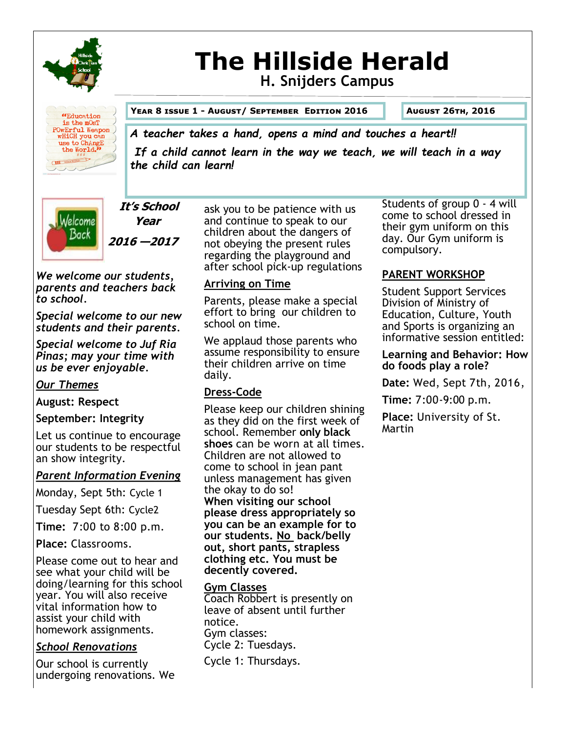

# **The Hillside Herald H. Snijders Campus**



#### **Year 8 issue 1 - August/ September Edition 2016 August 26th, 2016**

# *A teacher takes a hand, opens a mind and touches a heart!!*

*If a child cannot learn in the way we teach, we will teach in a way the child can learn!*



**It's School Year 2016 —2017** 

*We welcome our students, parents and teachers back to school.*

*Special welcome to our new students and their parents.* 

*Special welcome to Juf Ria Pinas; may your time with us be ever enjoyable.*

# *Our Themes*

**August: Respect** 

# **September: Integrity**

Let us continue to encourage our students to be respectful an show integrity.

# *Parent Information Evening*

Monday, Sept 5th: Cycle 1

Tuesday Sept 6th: Cycle2

**Time:** 7:00 to 8:00 p.m.

**Place:** Classrooms.

Please come out to hear and see what your child will be doing/learning for this school year. You will also receive vital information how to assist your child with homework assignments.

# *School Renovations*

Our school is currently undergoing renovations. We ask you to be patience with us and continue to speak to our children about the dangers of not obeying the present rules regarding the playground and after school pick-up regulations

# **Arriving on Time**

Parents, please make a special effort to bring our children to school on time.

We applaud those parents who assume responsibility to ensure their children arrive on time daily.

# **Dress-Code**

Please keep our children shining as they did on the first week of school. Remember **only black shoes** can be worn at all times. Children are not allowed to come to school in jean pant unless management has given the okay to do so! **When visiting our school please dress appropriately so you can be an example for to our students. No back/belly out, short pants, strapless clothing etc. You must be decently covered.**

# **Gym Classes**

Coach Robbert is presently on leave of absent until further notice. Gym classes: Cycle 2: Tuesdays. Cycle 1: Thursdays.

Students of group 0 - 4 will come to school dressed in their gym uniform on this day. Our Gym uniform is compulsory.

# **PARENT WORKSHOP**

Student Support Services Division of Ministry of Education, Culture, Youth and Sports is organizing an informative session entitled:

#### **Learning and Behavior: How do foods play a role?**

**Date:** Wed, Sept 7th, 2016,

**Time:** 7:00-9:00 p.m.

**Place:** University of St. Martin